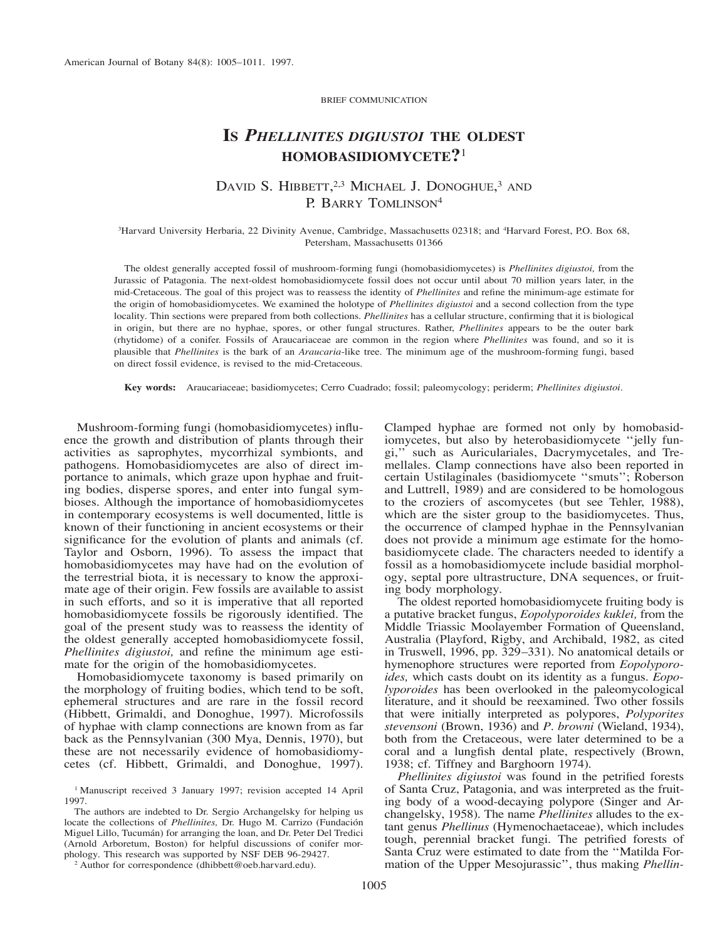BRIEF COMMUNICATION

## **IS** *PHELLINITES DIGIUSTOI* **THE OLDEST HOMOBASIDIOMYCETE?**<sup>1</sup>

## DAVID S. HIBBETT,<sup>2,3</sup> MICHAEL J. DONOGHUE,<sup>3</sup> AND P. BARRY TOMLINSON<sup>4</sup>

3 Harvard University Herbaria, 22 Divinity Avenue, Cambridge, Massachusetts 02318; and 4Harvard Forest, P.O. Box 68, Petersham, Massachusetts 01366

The oldest generally accepted fossil of mushroom-forming fungi (homobasidiomycetes) is *Phellinites digiustoi,* from the Jurassic of Patagonia. The next-oldest homobasidiomycete fossil does not occur until about 70 million years later, in the mid-Cretaceous. The goal of this project was to reassess the identity of *Phellinites* and refine the minimum-age estimate for the origin of homobasidiomycetes. We examined the holotype of *Phellinites digiustoi* and a second collection from the type locality. Thin sections were prepared from both collections. *Phellinites* has a cellular structure, confirming that it is biological in origin, but there are no hyphae, spores, or other fungal structures. Rather, *Phellinites* appears to be the outer bark (rhytidome) of a conifer. Fossils of Araucariaceae are common in the region where *Phellinites* was found, and so it is plausible that *Phellinites* is the bark of an *Araucaria*-like tree. The minimum age of the mushroom-forming fungi, based on direct fossil evidence, is revised to the mid-Cretaceous.

**Key words:** Araucariaceae; basidiomycetes; Cerro Cuadrado; fossil; paleomycology; periderm; *Phellinites digiustoi.*

Mushroom-forming fungi (homobasidiomycetes) influence the growth and distribution of plants through their activities as saprophytes, mycorrhizal symbionts, and pathogens. Homobasidiomycetes are also of direct importance to animals, which graze upon hyphae and fruiting bodies, disperse spores, and enter into fungal symbioses. Although the importance of homobasidiomycetes in contemporary ecosystems is well documented, little is known of their functioning in ancient ecosystems or their significance for the evolution of plants and animals (cf. Taylor and Osborn, 1996). To assess the impact that homobasidiomycetes may have had on the evolution of the terrestrial biota, it is necessary to know the approximate age of their origin. Few fossils are available to assist in such efforts, and so it is imperative that all reported homobasidiomycete fossils be rigorously identified. The goal of the present study was to reassess the identity of the oldest generally accepted homobasidiomycete fossil, *Phellinites digiustoi,* and refine the minimum age estimate for the origin of the homobasidiomycetes.

Homobasidiomycete taxonomy is based primarily on the morphology of fruiting bodies, which tend to be soft, ephemeral structures and are rare in the fossil record (Hibbett, Grimaldi, and Donoghue, 1997). Microfossils of hyphae with clamp connections are known from as far back as the Pennsylvanian (300 Mya, Dennis, 1970), but these are not necessarily evidence of homobasidiomycetes (cf. Hibbett, Grimaldi, and Donoghue, 1997).

<sup>1</sup> Manuscript received 3 January 1997; revision accepted 14 April 1997.

The authors are indebted to Dr. Sergio Archangelsky for helping us locate the collections of *Phellinites*, Dr. Hugo M. Carrizo (Fundación Miguel Lillo, Tucumán) for arranging the loan, and Dr. Peter Del Tredici (Arnold Arboretum, Boston) for helpful discussions of conifer morphology. This research was supported by NSF DEB 96-29427.

<sup>2</sup> Author for correspondence (dhibbett@oeb.harvard.edu).

Clamped hyphae are formed not only by homobasidiomycetes, but also by heterobasidiomycete ''jelly fungi,'' such as Auriculariales, Dacrymycetales, and Tremellales. Clamp connections have also been reported in certain Ustilaginales (basidiomycete ''smuts''; Roberson and Luttrell, 1989) and are considered to be homologous to the croziers of ascomycetes (but see Tehler, 1988), which are the sister group to the basidiomycetes. Thus, the occurrence of clamped hyphae in the Pennsylvanian does not provide a minimum age estimate for the homobasidiomycete clade. The characters needed to identify a fossil as a homobasidiomycete include basidial morphology, septal pore ultrastructure, DNA sequences, or fruiting body morphology.

The oldest reported homobasidiomycete fruiting body is a putative bracket fungus, *Eopolyporoides kuklei,* from the Middle Triassic Moolayember Formation of Queensland, Australia (Playford, Rigby, and Archibald, 1982, as cited in Truswell, 1996, pp. 329–331). No anatomical details or hymenophore structures were reported from *Eopolyporoides,* which casts doubt on its identity as a fungus. *Eopolyporoides* has been overlooked in the paleomycological literature, and it should be reexamined. Two other fossils that were initially interpreted as polypores, *Polyporites stevensoni* (Brown, 1936) and *P. browni* (Wieland, 1934), both from the Cretaceous, were later determined to be a coral and a lungfish dental plate, respectively (Brown, 1938; cf. Tiffney and Barghoorn 1974).

*Phellinites digiustoi* was found in the petrified forests of Santa Cruz, Patagonia, and was interpreted as the fruiting body of a wood-decaying polypore (Singer and Archangelsky, 1958). The name *Phellinites* alludes to the extant genus *Phellinus* (Hymenochaetaceae), which includes tough, perennial bracket fungi. The petrified forests of Santa Cruz were estimated to date from the ''Matilda Formation of the Upper Mesojurassic'', thus making *Phellin-*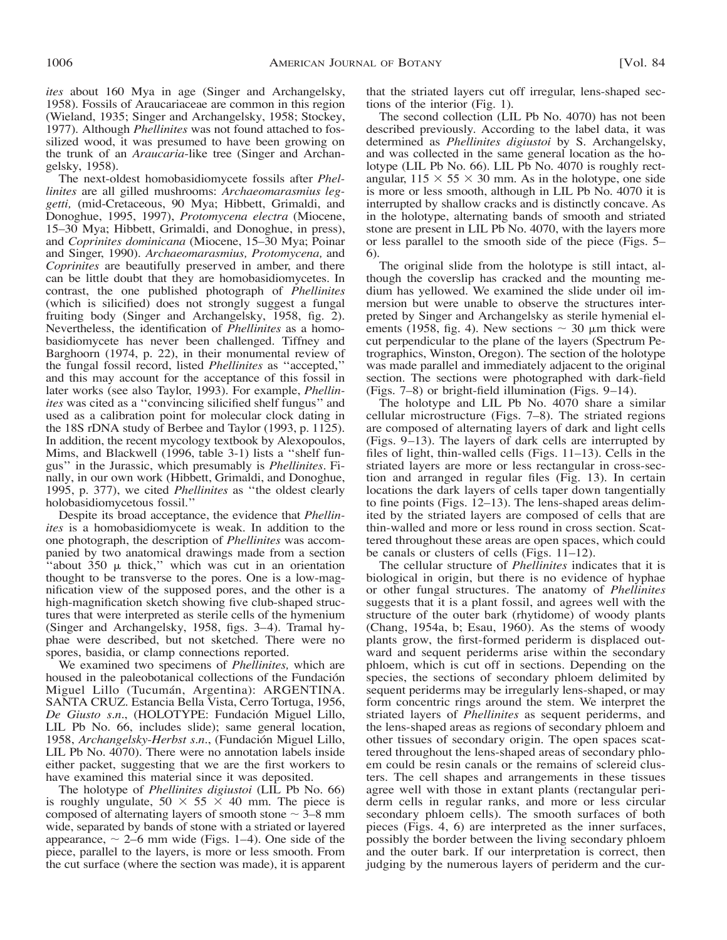*ites* about 160 Mya in age (Singer and Archangelsky, 1958). Fossils of Araucariaceae are common in this region (Wieland, 1935; Singer and Archangelsky, 1958; Stockey, 1977). Although *Phellinites* was not found attached to fossilized wood, it was presumed to have been growing on the trunk of an *Araucaria*-like tree (Singer and Archangelsky, 1958).

The next-oldest homobasidiomycete fossils after *Phellinites* are all gilled mushrooms: *Archaeomarasmius leggetti,* (mid-Cretaceous, 90 Mya; Hibbett, Grimaldi, and Donoghue, 1995, 1997), *Protomycena electra* (Miocene, 15–30 Mya; Hibbett, Grimaldi, and Donoghue, in press), and *Coprinites dominicana* (Miocene, 15–30 Mya; Poinar and Singer, 1990). *Archaeomarasmius, Protomycena,* and *Coprinites* are beautifully preserved in amber, and there can be little doubt that they are homobasidiomycetes. In contrast, the one published photograph of *Phellinites* (which is silicified) does not strongly suggest a fungal fruiting body (Singer and Archangelsky, 1958, fig. 2). Nevertheless, the identification of *Phellinites* as a homobasidiomycete has never been challenged. Tiffney and Barghoorn (1974, p. 22), in their monumental review of the fungal fossil record, listed *Phellinites* as ''accepted,'' and this may account for the acceptance of this fossil in later works (see also Taylor, 1993). For example, *Phellinites* was cited as a ''convincing silicified shelf fungus'' and used as a calibration point for molecular clock dating in the 18S rDNA study of Berbee and Taylor (1993, p. 1125). In addition, the recent mycology textbook by Alexopoulos, Mims, and Blackwell (1996, table 3-1) lists a ''shelf fungus'' in the Jurassic, which presumably is *Phellinites.* Finally, in our own work (Hibbett, Grimaldi, and Donoghue, 1995, p. 377), we cited *Phellinites* as ''the oldest clearly holobasidiomycetous fossil.''

Despite its broad acceptance, the evidence that *Phellinites* is a homobasidiomycete is weak. In addition to the one photograph, the description of *Phellinites* was accompanied by two anatomical drawings made from a section "about  $350 \mu$  thick," which was cut in an orientation thought to be transverse to the pores. One is a low-magnification view of the supposed pores, and the other is a high-magnification sketch showing five club-shaped structures that were interpreted as sterile cells of the hymenium (Singer and Archangelsky, 1958, figs. 3–4). Tramal hyphae were described, but not sketched. There were no spores, basidia, or clamp connections reported.

We examined two specimens of *Phellinites,* which are housed in the paleobotanical collections of the Fundación Miguel Lillo (Tucumán, Argentina): ARGENTINA. SANTA CRUZ. Estancia Bella Vista, Cerro Tortuga, 1956, *De Giusto s.n.*, (HOLOTYPE: Fundacio´n Miguel Lillo, LIL Pb No. 66, includes slide); same general location, 1958, Archangelsky-Herbst s.n., (Fundación Miguel Lillo, LIL Pb No. 4070). There were no annotation labels inside either packet, suggesting that we are the first workers to have examined this material since it was deposited.

The holotype of *Phellinites digiustoi* (LIL Pb No. 66) is roughly ungulate,  $50 \times 55 \times 40$  mm. The piece is composed of alternating layers of smooth stone  $\sim$  3–8 mm wide, separated by bands of stone with a striated or layered appearance,  $\sim$  2–6 mm wide (Figs. 1–4). One side of the piece, parallel to the layers, is more or less smooth. From the cut surface (where the section was made), it is apparent

that the striated layers cut off irregular, lens-shaped sections of the interior (Fig. 1).

The second collection (LIL Pb No. 4070) has not been described previously. According to the label data, it was determined as *Phellinites digiustoi* by S. Archangelsky, and was collected in the same general location as the holotype (LIL Pb No. 66). LIL Pb No. 4070 is roughly rectangular,  $115 \times 55 \times 30$  mm. As in the holotype, one side is more or less smooth, although in LIL Pb No. 4070 it is interrupted by shallow cracks and is distinctly concave. As in the holotype, alternating bands of smooth and striated stone are present in LIL Pb No. 4070, with the layers more or less parallel to the smooth side of the piece (Figs. 5– 6).

The original slide from the holotype is still intact, although the coverslip has cracked and the mounting medium has yellowed. We examined the slide under oil immersion but were unable to observe the structures interpreted by Singer and Archangelsky as sterile hymenial elements (1958, fig. 4). New sections  $\sim$  30  $\mu$ m thick were cut perpendicular to the plane of the layers (Spectrum Petrographics, Winston, Oregon). The section of the holotype was made parallel and immediately adjacent to the original section. The sections were photographed with dark-field (Figs. 7–8) or bright-field illumination (Figs. 9–14).

The holotype and LIL Pb No. 4070 share a similar cellular microstructure (Figs. 7–8). The striated regions are composed of alternating layers of dark and light cells (Figs. 9–13). The layers of dark cells are interrupted by files of light, thin-walled cells (Figs. 11–13). Cells in the striated layers are more or less rectangular in cross-section and arranged in regular files (Fig. 13). In certain locations the dark layers of cells taper down tangentially to fine points (Figs. 12–13). The lens-shaped areas delimited by the striated layers are composed of cells that are thin-walled and more or less round in cross section. Scattered throughout these areas are open spaces, which could be canals or clusters of cells (Figs. 11–12).

The cellular structure of *Phellinites* indicates that it is biological in origin, but there is no evidence of hyphae or other fungal structures. The anatomy of *Phellinites* suggests that it is a plant fossil, and agrees well with the structure of the outer bark (rhytidome) of woody plants (Chang, 1954a, b; Esau, 1960). As the stems of woody plants grow, the first-formed periderm is displaced outward and sequent periderms arise within the secondary phloem, which is cut off in sections. Depending on the species, the sections of secondary phloem delimited by sequent periderms may be irregularly lens-shaped, or may form concentric rings around the stem. We interpret the striated layers of *Phellinites* as sequent periderms, and the lens-shaped areas as regions of secondary phloem and other tissues of secondary origin. The open spaces scattered throughout the lens-shaped areas of secondary phloem could be resin canals or the remains of sclereid clusters. The cell shapes and arrangements in these tissues agree well with those in extant plants (rectangular periderm cells in regular ranks, and more or less circular secondary phloem cells). The smooth surfaces of both pieces (Figs. 4, 6) are interpreted as the inner surfaces, possibly the border between the living secondary phloem and the outer bark. If our interpretation is correct, then judging by the numerous layers of periderm and the cur-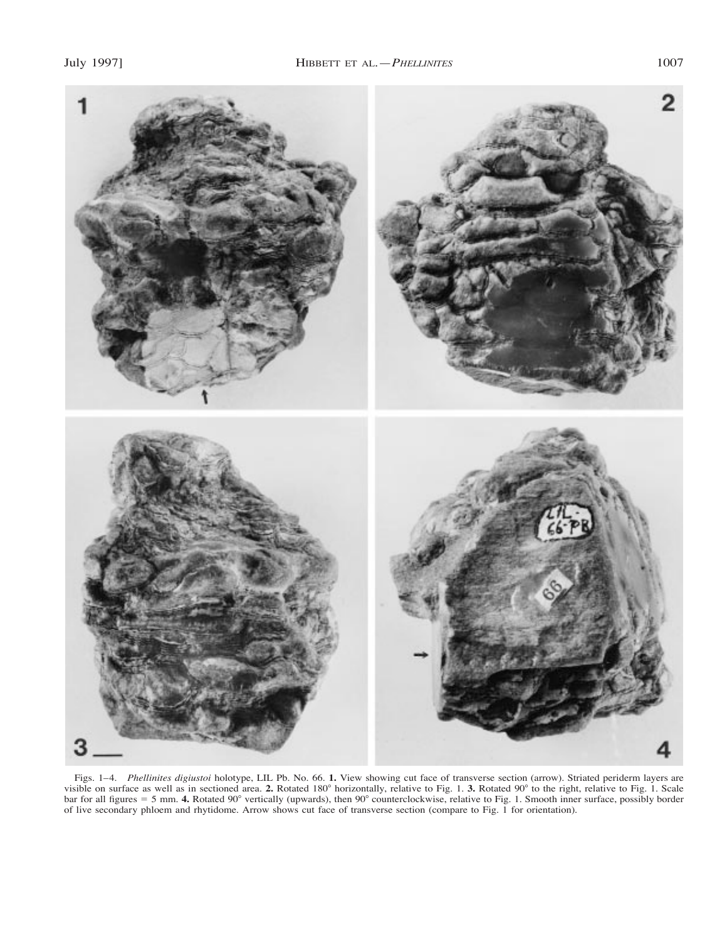

Figs. 1–4. *Phellinites digiustoi* holotype, LIL Pb. No. 66. **1.** View showing cut face of transverse section (arrow). Striated periderm layers are visible on surface as well as in sectioned area. 2. Rotated 180° horizontally, relative to Fig. 1. 3. Rotated 90° to the right, relative to Fig. 1. Scale bar for all figures = 5 mm. 4. Rotated 90° vertically (upwards), then 90° counterclockwise, relative to Fig. 1. Smooth inner surface, possibly border of live secondary phloem and rhytidome. Arrow shows cut face of transverse section (compare to Fig. 1 for orientation).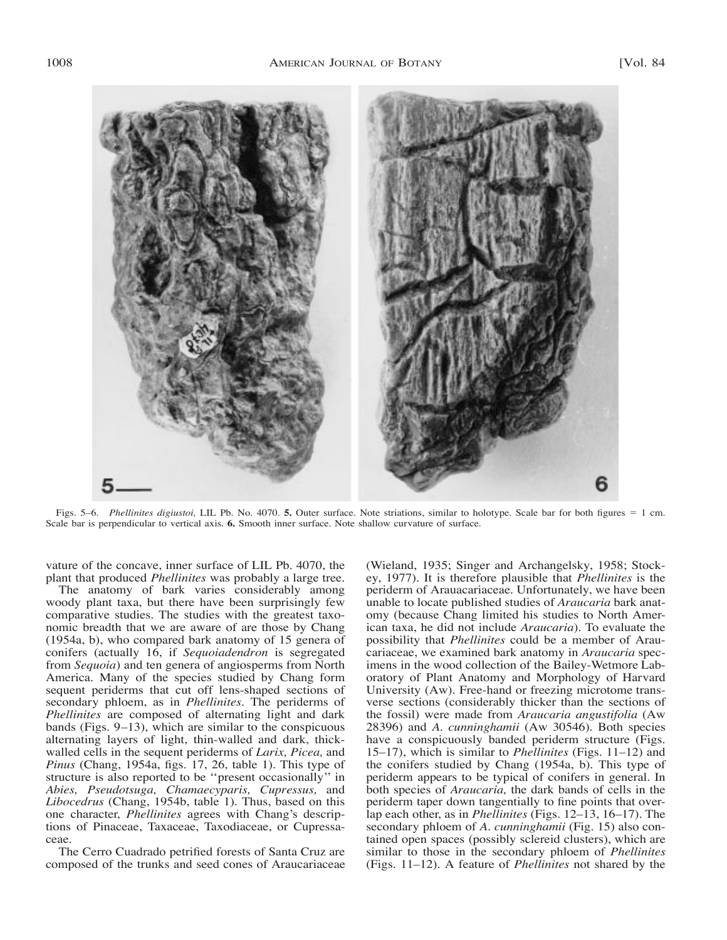

Figs. 5–6. *Phellinites digiustoi*, LIL Pb. No. 4070. **5.** Outer surface. Note striations, similar to holotype. Scale bar for both figures = 1 cm. Scale bar is perpendicular to vertical axis. **6.** Smooth inner surface. Note shallow curvature of surface.

vature of the concave, inner surface of LIL Pb. 4070, the plant that produced *Phellinites* was probably a large tree.

The anatomy of bark varies considerably among woody plant taxa, but there have been surprisingly few comparative studies. The studies with the greatest taxonomic breadth that we are aware of are those by Chang (1954a, b), who compared bark anatomy of 15 genera of conifers (actually 16, if *Sequoiadendron* is segregated from *Sequoia*) and ten genera of angiosperms from North America. Many of the species studied by Chang form sequent periderms that cut off lens-shaped sections of secondary phloem, as in *Phellinites.* The periderms of *Phellinites* are composed of alternating light and dark bands (Figs. 9–13), which are similar to the conspicuous alternating layers of light, thin-walled and dark, thickwalled cells in the sequent periderms of *Larix, Picea,* and *Pinus* (Chang, 1954a, figs. 17, 26, table 1). This type of structure is also reported to be ''present occasionally'' in *Abies, Pseudotsuga, Chamaecyparis, Cupressus,* and *Libocedrus* (Chang, 1954b, table 1). Thus, based on this one character, *Phellinites* agrees with Chang's descriptions of Pinaceae, Taxaceae, Taxodiaceae, or Cupressaceae.

The Cerro Cuadrado petrified forests of Santa Cruz are composed of the trunks and seed cones of Araucariaceae (Wieland, 1935; Singer and Archangelsky, 1958; Stockey, 1977). It is therefore plausible that *Phellinites* is the periderm of Arauacariaceae. Unfortunately, we have been unable to locate published studies of *Araucaria* bark anatomy (because Chang limited his studies to North American taxa, he did not include *Araucaria*). To evaluate the possibility that *Phellinites* could be a member of Araucariaceae, we examined bark anatomy in *Araucaria* specimens in the wood collection of the Bailey-Wetmore Laboratory of Plant Anatomy and Morphology of Harvard University (Aw). Free-hand or freezing microtome transverse sections (considerably thicker than the sections of the fossil) were made from *Araucaria angustifolia* (Aw 28396) and *A. cunninghamii* (Aw 30546). Both species have a conspicuously banded periderm structure (Figs. 15–17), which is similar to *Phellinites* (Figs. 11–12) and the conifers studied by Chang (1954a, b). This type of periderm appears to be typical of conifers in general. In both species of *Araucaria,* the dark bands of cells in the periderm taper down tangentially to fine points that overlap each other, as in *Phellinites* (Figs. 12–13, 16–17). The secondary phloem of *A. cunninghamii* (Fig. 15) also contained open spaces (possibly sclereid clusters), which are similar to those in the secondary phloem of *Phellinites* (Figs. 11–12). A feature of *Phellinites* not shared by the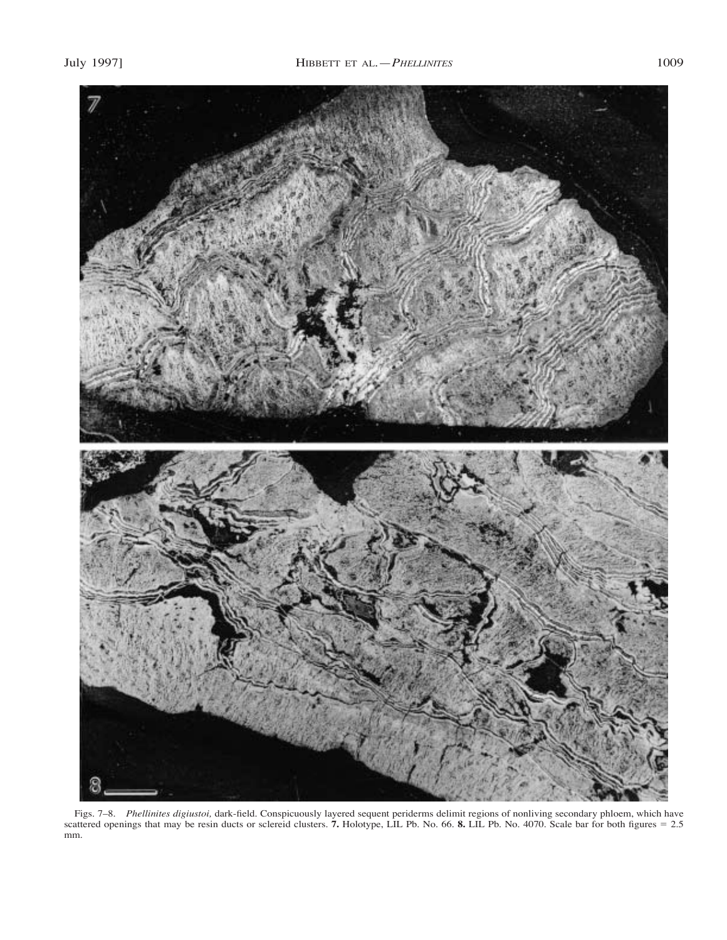

Figs. 7–8. *Phellinites digiustoi,* dark-field. Conspicuously layered sequent periderms delimit regions of nonliving secondary phloem, which have scattered openings that may be resin ducts or sclereid clusters. **7.** Holotype, LIL Pb. No. 66. **8.** LIL Pb. No. 4070. Scale bar for both figures = 2.5 mm.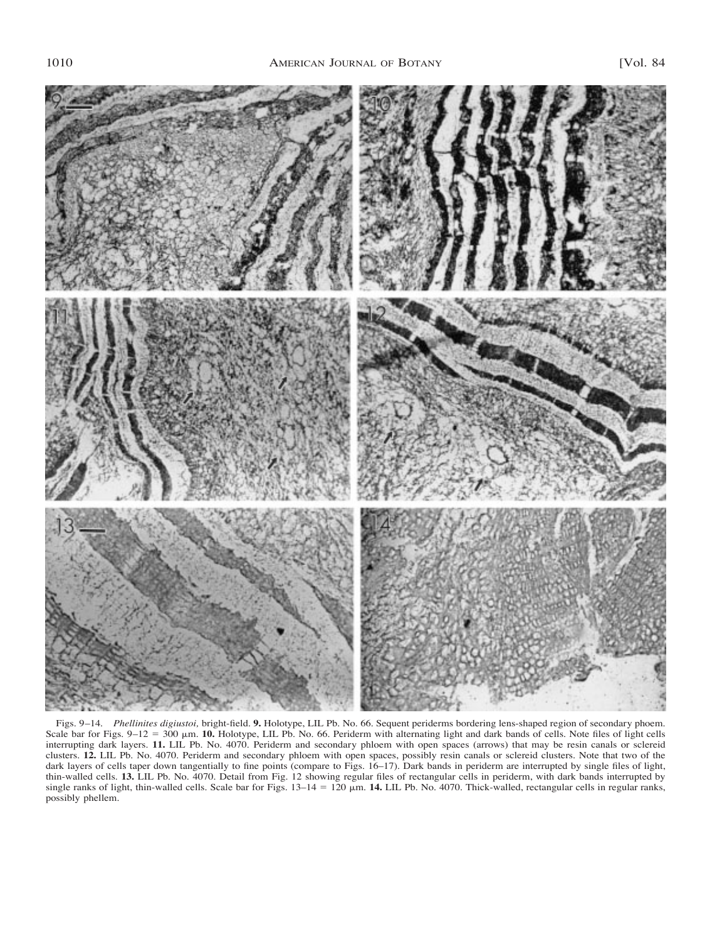

Figs. 9–14. *Phellinites digiustoi,* bright-field. **9.** Holotype, LIL Pb. No. 66. Sequent periderms bordering lens-shaped region of secondary phoem. Scale bar for Figs.  $9-12 = 300 \mu m$ . **10.** Holotype, LIL Pb. No. 66. Periderm with alternating light and dark bands of cells. Note files of light cells interrupting dark layers. **11.** LIL Pb. No. 4070. Periderm and secondary phloem with open spaces (arrows) that may be resin canals or sclereid clusters. **12.** LIL Pb. No. 4070. Periderm and secondary phloem with open spaces, possibly resin canals or sclereid clusters. Note that two of the dark layers of cells taper down tangentially to fine points (compare to Figs. 16–17). Dark bands in periderm are interrupted by single files of light, thin-walled cells. **13.** LIL Pb. No. 4070. Detail from Fig. 12 showing regular files of rectangular cells in periderm, with dark bands interrupted by single ranks of light, thin-walled cells. Scale bar for Figs.  $13-14 = 120 \mu m$ . **14.** LIL Pb. No. 4070. Thick-walled, rectangular cells in regular ranks, possibly phellem.